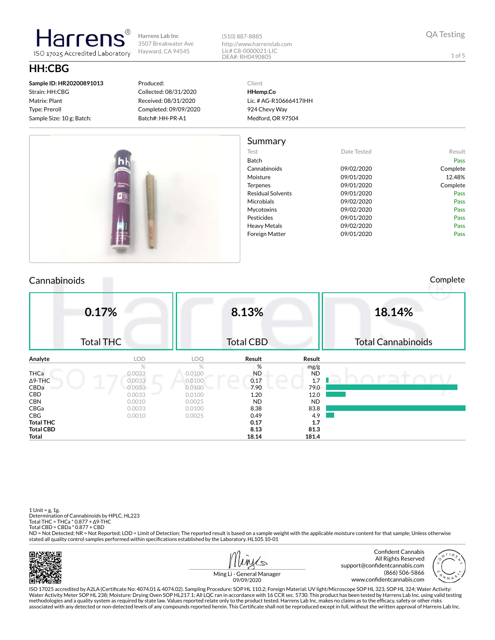(510) 887-8885 http://www.harrenslab.com Lic# C8-0000021-LIC

# **HH:CBG**

**Sample ID: HR20200891013** Strain: HH:CBG Matrix: Plant Type: P

larrer

ISO 17025 Accredited Laboratory

#### Produced: Collected: 08/31/2020 Received: 08/31/2020  $C<sub>2</sub>$

DEA#: RH0490805

**HHemp.Co** Lic. # AG-R10666417IHH

|                 | Summary                  |             |          |
|-----------------|--------------------------|-------------|----------|
|                 | Test                     | Date Tested | Result   |
| ш               | Batch                    |             | Pass     |
| <b>Did Nine</b> | Cannabinoids             | 09/02/2020  | Complete |
|                 | Moisture                 | 09/01/2020  | 12.48%   |
| Howas           | Terpenes                 | 09/01/2020  | Complete |
|                 | <b>Residual Solvents</b> | 09/01/2020  | Pass     |
| 题               | <b>Microbials</b>        | 09/02/2020  | Pass     |
|                 | Mycotoxins               | 09/02/2020  | Pass     |
|                 | Pesticides               | 09/01/2020  | Pass     |
|                 | <b>Heavy Metals</b>      | 09/02/2020  | Pass     |
|                 | <b>Foreign Matter</b>    | 09/01/2020  | Pass     |

### Cannabinoids Complete

924 Chevy Way Medford, OR 97504

| Type: Preroll             | Completed: 09/09/2020 |
|---------------------------|-----------------------|
| Sample Size: 10 g; Batch: | Batch#: HH-PR-A1      |
|                           |                       |

Client

QA Testing

1 of 5

|                  | 0.17%<br><b>Total THC</b> |            | 8.13%<br><b>Total CBD</b> |           | 18.14%<br><b>Total Cannabinoids</b> |
|------------------|---------------------------|------------|---------------------------|-----------|-------------------------------------|
| Analyte          | <b>LOD</b>                | <b>LOQ</b> | Result                    | Result    |                                     |
|                  | $\%$                      | $\%$       | %                         | mg/g      |                                     |
| <b>THCa</b>      | 0.0033                    | 0.0100     | <b>ND</b>                 | <b>ND</b> |                                     |
| $\Delta$ 9-THC   | 0.0033                    | 0.0100     | a<br>0.17                 | 1.7       |                                     |
| CBDa             | 0.0033                    | 0.0100     | 7.90                      | 79.0      |                                     |
| CBD              | 0.0033                    | 0.0100     | 1.20                      | 12.0      |                                     |
| <b>CBN</b>       | 0.0010                    | 0.0025     | <b>ND</b>                 | <b>ND</b> |                                     |
| CBGa             | 0.0033                    | 0.0100     | 8.38                      | 83.8      |                                     |
| CBG              | 0.0010                    | 0.0025     | 0.49                      | 4.9       |                                     |
| <b>Total THC</b> |                           |            | 0.17                      | 1.7       |                                     |
| <b>Total CBD</b> |                           |            | 8.13                      | 81.3      |                                     |
| Total            |                           |            | 18.14                     | 181.4     |                                     |

1 Unit = g, 1g. Determination of Cannabinoids by HPLC, HL223 Total THC = THCa \* 0.877 + ∆9-THC Total CBD = CBDa \* 0.877 + CBD

ND = Not Detected; NR = Not Reported; LOD = Limit of Detection; The reported result is based on a sample weight with the applicable moisture content for that sample; Unless otherwise stated all quality control samples performed within specifications established by the Laboratory. HL105.10-01





Ming Li - General Manager 09/09/2020

ISO 17025 accredited by A2LA (Certicate No: 4074.01 & 4074.02). Sampling Procedure: SOP HL 110.2; Foreign Material: UV light/Microscope SOP HL 323, SOP HL 324; Water Activity: Water Activity Meter SOP HL 238; Moisture: Drying Oven SOP HL217.1; All LQC ran in accordance with 16 CCR sec. 5730. This product has been tested by Harrens Lab Inc. using valid testing methodologies and a quality system as required by state law. Values reported relate only to the product tested. Harrens Lab Inc. makes no claims as to the efficacy, safety or other risks<br>associated with any detected or non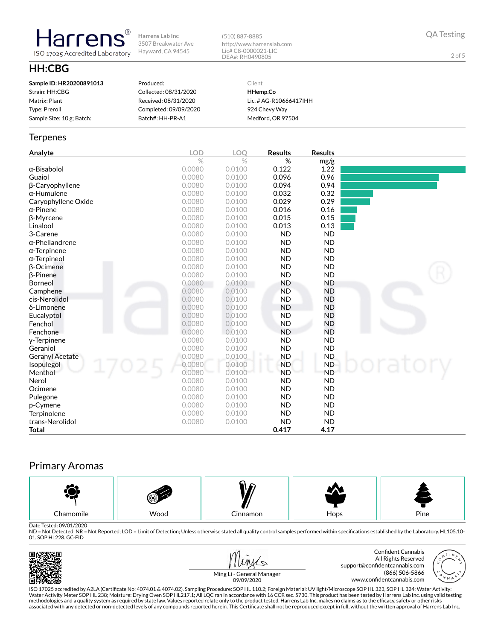(510) 887-8885 http://www.harrenslab.com Lic# C8-0000021-LIC DEA#: RH0490805

QA Testing

2 of 5

## **HH:CBG**

**Harrens** 

ISO 17025 Accredited Laboratory

| Sample ID: HR20200891013  | Produced:             | Client                 |
|---------------------------|-----------------------|------------------------|
| Strain: HH:CBG            | Collected: 08/31/2020 | HHemp.Co               |
| Matrix: Plant             | Received: 08/31/2020  | Lic. # AG-R10666417IHH |
| Type: Preroll             | Completed: 09/09/2020 | 924 Chevy Way          |
| Sample Size: 10 g; Batch: | Batch#: HH-PR-A1      | Medford, OR 97504      |

#### **Terpenes**

| Analyte                | <b>LOD</b> | LOO    | <b>Results</b> | <b>Results</b> |  |
|------------------------|------------|--------|----------------|----------------|--|
|                        | $\%$       | $\%$   | $\%$           | mg/g           |  |
| α-Bisabolol            | 0.0080     | 0.0100 | 0.122          | 1.22           |  |
| Guaiol                 | 0.0080     | 0.0100 | 0.096          | 0.96           |  |
| β-Caryophyllene        | 0.0080     | 0.0100 | 0.094          | 0.94           |  |
| $\alpha$ -Humulene     | 0.0080     | 0.0100 | 0.032          | 0.32           |  |
| Caryophyllene Oxide    | 0.0080     | 0.0100 | 0.029          | 0.29           |  |
| $\alpha$ -Pinene       | 0.0080     | 0.0100 | 0.016          | 0.16           |  |
| <b>ß-Myrcene</b>       | 0.0080     | 0.0100 | 0.015          | 0.15           |  |
| Linalool               | 0.0080     | 0.0100 | 0.013          | 0.13           |  |
| 3-Carene               | 0.0080     | 0.0100 | <b>ND</b>      | <b>ND</b>      |  |
| $\alpha$ -Phellandrene | 0.0080     | 0.0100 | <b>ND</b>      | <b>ND</b>      |  |
| $\alpha$ -Terpinene    | 0.0080     | 0.0100 | <b>ND</b>      | <b>ND</b>      |  |
| $\alpha$ -Terpineol    | 0.0080     | 0.0100 | <b>ND</b>      | <b>ND</b>      |  |
| <b>B-Ocimene</b>       | 0.0080     | 0.0100 | <b>ND</b>      | <b>ND</b>      |  |
| <b>B-Pinene</b>        | 0.0080     | 0.0100 | <b>ND</b>      | <b>ND</b>      |  |
| Borneol                | 0.0080     | 0.0100 | <b>ND</b>      | <b>ND</b>      |  |
| Camphene               | 0.0080     | 0.0100 | <b>ND</b>      | <b>ND</b>      |  |
| cis-Nerolidol          | 0.0080     | 0.0100 | <b>ND</b>      | <b>ND</b>      |  |
| δ-Limonene             | 0.0080     | 0.0100 | <b>ND</b>      | <b>ND</b>      |  |
| Eucalyptol             | 0.0080     | 0.0100 | <b>ND</b>      | <b>ND</b>      |  |
| Fenchol                | 0.0080     | 0.0100 | <b>ND</b>      | ND             |  |
| <b>Fenchone</b>        | 0.0080     | 0.0100 | <b>ND</b>      | <b>ND</b>      |  |
| y-Terpinene            | 0.0080     | 0.0100 | <b>ND</b>      | <b>ND</b>      |  |
| Geraniol               | 0.0080     | 0.0100 | <b>ND</b>      | <b>ND</b>      |  |
| <b>Geranyl Acetate</b> | 0.0080     | 0.0100 | <b>ND</b>      | <b>ND</b>      |  |
| Isopulegol             | 0.0080     | 0.0100 | <b>ND</b>      | <b>ND</b>      |  |
| Menthol                | 0.0080     | 0.0100 | <b>ND</b>      | <b>ND</b>      |  |
| Nerol                  | 0.0080     | 0.0100 | <b>ND</b>      | <b>ND</b>      |  |
| Ocimene                | 0.0080     | 0.0100 | <b>ND</b>      | <b>ND</b>      |  |
| Pulegone               | 0.0080     | 0.0100 | <b>ND</b>      | <b>ND</b>      |  |
| p-Cymene               | 0.0080     | 0.0100 | <b>ND</b>      | <b>ND</b>      |  |
| Terpinolene            | 0.0080     | 0.0100 | <b>ND</b>      | <b>ND</b>      |  |
| trans-Nerolidol        | 0.0080     | 0.0100 | <b>ND</b>      | <b>ND</b>      |  |
| <b>Total</b>           |            |        | 0.417          | 4.17           |  |

## Primary Aromas



Date Tested: 09/01/2020<br>ND = Not Detected; NR = Not Reported; LOD = Limit of Detection; Unless otherwise stated all quality control samples performed within specifications established by the Laboratory. HL105.10-01. SOP HL228. GC-FID









ISO 17025 accredited by A2LA (Certicate No: 4074.01 & 4074.02). Sampling Procedure: SOP HL 110.2; Foreign Material: UV light/Microscope SOP HL 323, SOP HL 324; Water Activity: Water Activity Meter SOP HL 238; Moisture: Drying Oven SOP HL217.1; All LQC ran in accordance with 16 CCR sec. 5730. This product has been tested by Harrens Lab Inc. using valid testing methodologies and a quality system as required by state law. Values reported relate only to the product tested. Harrens Lab Inc. makes no claims as to the efficacy, safety or other risks<br>associated with any detected or non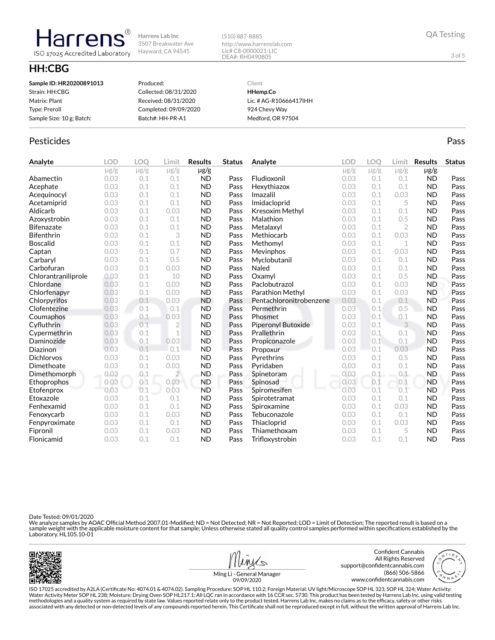(510) 887-8885 http://www.harrenslab.com Lic# C8-0000021-LIC DEA#: RH0490805

## **HH:CBG**

Harrens

ISO 17025 Accredited Laboratory

| Sample ID: HR20200891013  | Produced:             | Client                 |
|---------------------------|-----------------------|------------------------|
| Strain: HH:CBG            | Collected: 08/31/2020 | HHemp.Co               |
| Matrix: Plant             | Received: 08/31/2020  | Lic. # AG-R10666417IHH |
| Type: Preroll             | Completed: 09/09/2020 | 924 Chevy Way          |
| Sample Size: 10 g; Batch: | Batch#: HH-PR-A1      | Medford, OR 97504      |
|                           |                       |                        |

## Pesticides **Passage Community Community Community** Passes and the extension of the extension of the extension of the extension of the extension of the extension of the extension of the extension of the extension of the ext

| Analyte             | <b>LOD</b> | LOO       | Limit          | <b>Results</b> | <b>Status</b> | Analyte                 | <b>LOD</b> | <b>LOO</b> | Limit          | <b>Results</b> | <b>Status</b> |
|---------------------|------------|-----------|----------------|----------------|---------------|-------------------------|------------|------------|----------------|----------------|---------------|
|                     | $\mu$ g/g  | $\mu$ g/g | $\mu$ g/g      | $\mu$ g/g      |               |                         | $\mu$ g/g  | $\mu$ g/g  | $\mu$ g/g      | $\mu$ g/g      |               |
| Abamectin           | 0.03       | 0.1       | 0.1            | <b>ND</b>      | Pass          | Fludioxonil             | 0.03       | 0.1        | 0.1            | <b>ND</b>      | Pass          |
| Acephate            | 0.03       | 0.1       | 0.1            | <b>ND</b>      | Pass          | Hexythiazox             | 0.03       | 0.1        | 0.1            | <b>ND</b>      | Pass          |
| Acequinocyl         | 0.03       | 0.1       | 0.1            | <b>ND</b>      | Pass          | Imazalil                | 0.03       | 0.1        | 0.03           | <b>ND</b>      | Pass          |
| Acetamiprid         | 0.03       | 0.1       | 0.1            | <b>ND</b>      | Pass          | Imidacloprid            | 0.03       | 0.1        | 5              | <b>ND</b>      | Pass          |
| Aldicarb            | 0.03       | 0.1       | 0.03           | <b>ND</b>      | Pass          | <b>Kresoxim Methyl</b>  | 0.03       | 0.1        | 0.1            | <b>ND</b>      | Pass          |
| Azoxystrobin        | 0.03       | 0.1       | 0.1            | <b>ND</b>      | Pass          | Malathion               | 0.03       | 0.1        | 0.5            | <b>ND</b>      | Pass          |
| <b>Bifenazate</b>   | 0.03       | 0.1       | 0.1            | <b>ND</b>      | Pass          | Metalaxyl               | 0.03       | 0.1        | $\overline{2}$ | <b>ND</b>      | Pass          |
| <b>Bifenthrin</b>   | 0.03       | 0.1       | 3              | <b>ND</b>      | Pass          | Methiocarb              | 0.03       | 0.1        | 0.03           | <b>ND</b>      | Pass          |
| <b>Boscalid</b>     | 0.03       | 0.1       | 0.1            | <b>ND</b>      | Pass          | Methomyl                | 0.03       | 0.1        | $\mathbf 1$    | <b>ND</b>      | Pass          |
| Captan              | 0.03       | 0.1       | 0.7            | <b>ND</b>      | Pass          | Mevinphos               | 0.03       | 0.1        | 0.03           | <b>ND</b>      | Pass          |
| Carbaryl            | 0.03       | 0.1       | 0.5            | <b>ND</b>      | Pass          | Myclobutanil            | 0.03       | 0.1        | 0.1            | <b>ND</b>      | Pass          |
| Carbofuran          | 0.03       | 0.1       | 0.03           | <b>ND</b>      | Pass          | Naled                   | 0.03       | 0.1        | 0.1            | <b>ND</b>      | Pass          |
| Chlorantraniliprole | 0.03       | 0.1       | 10             | <b>ND</b>      | Pass          | Oxamyl                  | 0.03       | 0.1        | 0.5            | <b>ND</b>      | Pass          |
| Chlordane           | 0.03       | 0.1       | 0.03           | <b>ND</b>      | Pass          | Paclobutrazol           | 0.03       | 0.1        | 0.03           | <b>ND</b>      | Pass          |
| Chlorfenapyr        | 0.03       | 0.1       | 0.03           | <b>ND</b>      | Pass          | Parathion Methyl        | 0.03       | 0.1        | 0.03           | <b>ND</b>      | Pass          |
| Chlorpyrifos        | 0.03       | 0.1       | 0.03           | <b>ND</b>      | Pass          | Pentachloronitrobenzene | 0.03       | 0.1        | 0.1            | <b>ND</b>      | Pass          |
| Clofentezine        | 0.03       | 0.1       | 0.1            | <b>ND</b>      | Pass          | Permethrin              | 0.03       | 0.1        | 0.5            | <b>ND</b>      | Pass          |
| Coumaphos           | 0.03       | 0.1       | 0.03           | <b>ND</b>      | Pass          | Phosmet                 | 0.03       | 0.1        | 0.1            | <b>ND</b>      | Pass          |
| Cyfluthrin          | 0.03       | 0.1       | $\overline{2}$ | <b>ND</b>      | Pass          | Piperonyl Butoxide      | 0.03       | 0.1        | 3              | <b>ND</b>      | Pass          |
| Cypermethrin        | 0.03       | 0.1       | 1              | <b>ND</b>      | Pass          | Prallethrin             | 0.03       | 0.1        | 0.1            | <b>ND</b>      | Pass          |
| Daminozide          | 0.03       | 0.1       | 0.03           | <b>ND</b>      | Pass          | Propiconazole           | 0.03       | 0.1        | 0.1            | <b>ND</b>      | Pass          |
| Diazinon            | 0.03       | 0.1       | 0.1            | <b>ND</b>      | Pass          | Propoxur                | 0.03       | 0.1        | 0.03           | <b>ND</b>      | Pass          |
| <b>Dichlorvos</b>   | 0.03       | 0.1       | 0.03           | <b>ND</b>      | Pass          | Pyrethrins              | 0.03       | 0.1        | 0.5            | <b>ND</b>      | Pass          |
| Dimethoate          | 0.03       | 0.1       | 0.03           | <b>ND</b>      | Pass          | Pyridaben               | 0.03       | 0.1        | 0.1            | <b>ND</b>      | Pass          |
| Dimethomorph        | 0.03       | 0.1       | $\overline{2}$ | <b>ND</b>      | Pass          | Spinetoram              | 0.03       | 0.1        | 0.1            | <b>ND</b>      | Pass          |
| Ethoprophos         | 0.03       | 0.1       | 0.03           | <b>ND</b>      | Pass          | Spinosad                | 0.03       | 0.1        | 0.1            | <b>ND</b>      | Pass          |
| Etofenprox          | 0.03       | 0.1       | 0.03           | <b>ND</b>      | Pass          | Spiromesifen            | 0.03       | 0.1        | 0.1            | <b>ND</b>      | Pass          |
| Etoxazole           | 0.03       | 0.1       | 0.1            | <b>ND</b>      | Pass          | Spirotetramat           | 0.03       | 0.1        | 0.1            | <b>ND</b>      | Pass          |
| Fenhexamid          | 0.03       | 0.1       | 0.1            | <b>ND</b>      | Pass          | Spiroxamine             | 0.03       | 0.1        | 0.03           | <b>ND</b>      | Pass          |
| Fenoxycarb          | 0.03       | 0.1       | 0.03           | <b>ND</b>      | Pass          | Tebuconazole            | 0.03       | 0.1        | 0.1            | <b>ND</b>      | Pass          |
| Fenpyroximate       | 0.03       | 0.1       | 0.1            | <b>ND</b>      | Pass          | Thiacloprid             | 0.03       | 0.1        | 0.03           | <b>ND</b>      | Pass          |
| Fipronil            | 0.03       | 0.1       | 0.03           | <b>ND</b>      | Pass          | Thiamethoxam            | 0.03       | 0.1        | 5              | <b>ND</b>      | Pass          |
| Flonicamid          | 0.03       | 0.1       | 0.1            | <b>ND</b>      | Pass          | Trifloxystrobin         | 0.03       | 0.1        | 0.1            | <b>ND</b>      | Pass          |

Date Tested: 09/01/2020

We analyze samples by AOAC Official Method 2007.01-Modified; ND = Not Detected; NR = Not Reported; LOD = Limit of Detection; The reported result is based on a<br>sample weight with the applicable moisture content for that sam



Ming Li - General Manager



3 of 5

www.confidentcannabis.com

ISO 17025 accredited by A2LA (Certicate No: 4074.01 & 4074.02). Sampling Procedure: SOP HL 110.2; Foreign Material: UV light/Microscope SOP HL 323, SOP HL 324; Water Activity: Water Activity Meter SOP HL 238; Moisture: Drying Oven SOP HL217.1; All LQC ran in accordance with 16 CCR sec. 5730. This product has been tested by Harrens Lab Inc. using valid testing methodologies and a quality system as required by state law. Values reported relate only to the product tested. Harrens Lab Inc. makes no claims as to the efficacy, safety or other risks<br>associated with any detected or non 09/09/2020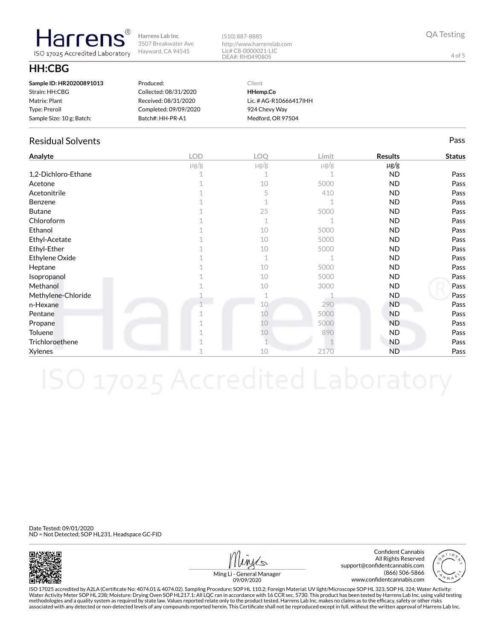(510) 887-8885 http://www.harrenslab.com Lic# C8-0000021-LIC DEA#: RH0490805

## **HH:CBG**

| Sample ID: HR20200891013  | Produced:             | Client                 |
|---------------------------|-----------------------|------------------------|
| Strain: HH:CBG            | Collected: 08/31/2020 | HHemp.Co               |
| Matrix: Plant             | Received: 08/31/2020  | Lic. # AG-R10666417IHH |
| Type: Preroll             | Completed: 09/09/2020 | 924 Chevy Way          |
| Sample Size: 10 g; Batch: | Batch#: HH-PR-A1      | Medford, OR 97504      |

### Residual Solvents Pass

**Harrens** ISO 17025 Accredited Laboratory

| Analyte             | <b>LOD</b> | LOQ       | Limit     | <b>Results</b> | <b>Status</b> |
|---------------------|------------|-----------|-----------|----------------|---------------|
|                     | $\mu$ g/g  | $\mu$ g/g | $\mu$ g/g | $\mu$ g/g      |               |
| 1,2-Dichloro-Ethane |            |           |           | <b>ND</b>      | Pass          |
| Acetone             |            | 10        | 5000      | <b>ND</b>      | Pass          |
| Acetonitrile        |            | 5         | 410       | <b>ND</b>      | Pass          |
| Benzene             |            |           |           | <b>ND</b>      | Pass          |
| <b>Butane</b>       |            | 25        | 5000      | <b>ND</b>      | Pass          |
| Chloroform          |            | 1         |           | <b>ND</b>      | Pass          |
| Ethanol             |            | 10        | 5000      | <b>ND</b>      | Pass          |
| Ethyl-Acetate       |            | 10        | 5000      | <b>ND</b>      | Pass          |
| Ethyl-Ether         |            | 10        | 5000      | <b>ND</b>      | Pass          |
| Ethylene Oxide      |            | 1         |           | <b>ND</b>      | Pass          |
| Heptane             |            | 10        | 5000      | <b>ND</b>      | Pass          |
| Isopropanol         |            | 10        | 5000      | <b>ND</b>      | Pass          |
| Methanol            |            | 10        | 3000      | <b>ND</b>      | Pass          |
| Methylene-Chloride  |            |           |           | ND.            | Pass          |
| n-Hexane            |            | 10        | 290       | <b>ND</b>      | Pass          |
| Pentane             |            | 10        | 5000      | <b>ND</b>      | Pass          |
| Propane             |            | 10        | 5000      | <b>ND</b>      | Pass          |
| Toluene             |            | 10        | 890       | ND.            | Pass          |
| Trichloroethene     |            |           |           | <b>ND</b>      | Pass          |
| Xylenes             |            | 10        | 2170      | <b>ND</b>      | Pass          |

Date Tested: 09/01/2020 ND = Not Detected; SOP HL231. Headspace GC-FID



Confident Cannabis All Rights Reserved support@confidentcannabis.com (866) 506-5866 www.confidentcannabis.com



Ming Li - General Manager 09/09/2020

ISO 17025 accredited by A2LA (Certicate No: 4074.01 & 4074.02). Sampling Procedure: SOP HL 110.2; Foreign Material: UV light/Microscope SOP HL 323, SOP HL 324; Water Activity: Water Activity Meter SOP HL 238; Moisture: Drying Oven SOP HL217.1; All LQC ran in accordance with 16 CCR sec. 5730. This product has been tested by Harrens Lab Inc. using valid testing methodologies and a quality system as required by state law. Values reported relate only to the product tested. Harrens Lab Inc. makes no claims as to the efficacy, safety or other risks<br>associated with any detected or non

4 of 5